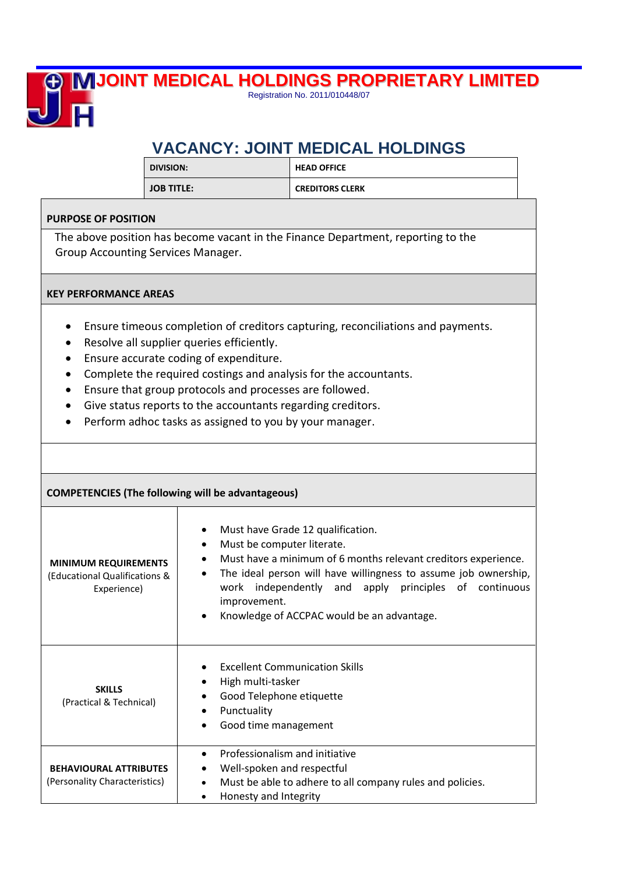## **JOINT MEDICAL HOLDINGS PROPRIETARY LIMITED**

Registration No. 2011/010448/07

## **VACANCY: JOINT MEDICAL HOLDINGS**

| <b>DIVISION:</b>  | <b>HEAD OFFICE</b>     |  |
|-------------------|------------------------|--|
| <b>JOB TITLE:</b> | <b>CREDITORS CLERK</b> |  |

## **PURPOSE OF POSITION**

直

The above position has become vacant in the Finance Department, reporting to the Group Accounting Services Manager.

## **KEY PERFORMANCE AREAS**

- Ensure timeous completion of creditors capturing, reconciliations and payments.
- Resolve all supplier queries efficiently.
- Ensure accurate coding of expenditure.
- Complete the required costings and analysis for the accountants.
- Ensure that group protocols and processes are followed.
- Give status reports to the accountants regarding creditors.
- Perform adhoc tasks as assigned to you by your manager.

| <b>COMPETENCIES (The following will be advantageous)</b>                    |                                                                                                                                                                                                                                                                                                                                                    |  |  |  |  |
|-----------------------------------------------------------------------------|----------------------------------------------------------------------------------------------------------------------------------------------------------------------------------------------------------------------------------------------------------------------------------------------------------------------------------------------------|--|--|--|--|
| <b>MINIMUM REQUIREMENTS</b><br>(Educational Qualifications &<br>Experience) | Must have Grade 12 qualification.<br>$\bullet$<br>Must be computer literate.<br>٠<br>Must have a minimum of 6 months relevant creditors experience.<br>The ideal person will have willingness to assume job ownership,<br>٠<br>work independently and apply principles of continuous<br>improvement.<br>Knowledge of ACCPAC would be an advantage. |  |  |  |  |
| <b>SKILLS</b><br>(Practical & Technical)                                    | <b>Excellent Communication Skills</b><br>High multi-tasker<br>Good Telephone etiquette<br>Punctuality<br>Good time management                                                                                                                                                                                                                      |  |  |  |  |
| <b>BEHAVIOURAL ATTRIBUTES</b><br>(Personality Characteristics)              | Professionalism and initiative<br>$\bullet$<br>Well-spoken and respectful<br>Must be able to adhere to all company rules and policies.<br>$\bullet$<br>Honesty and Integrity                                                                                                                                                                       |  |  |  |  |